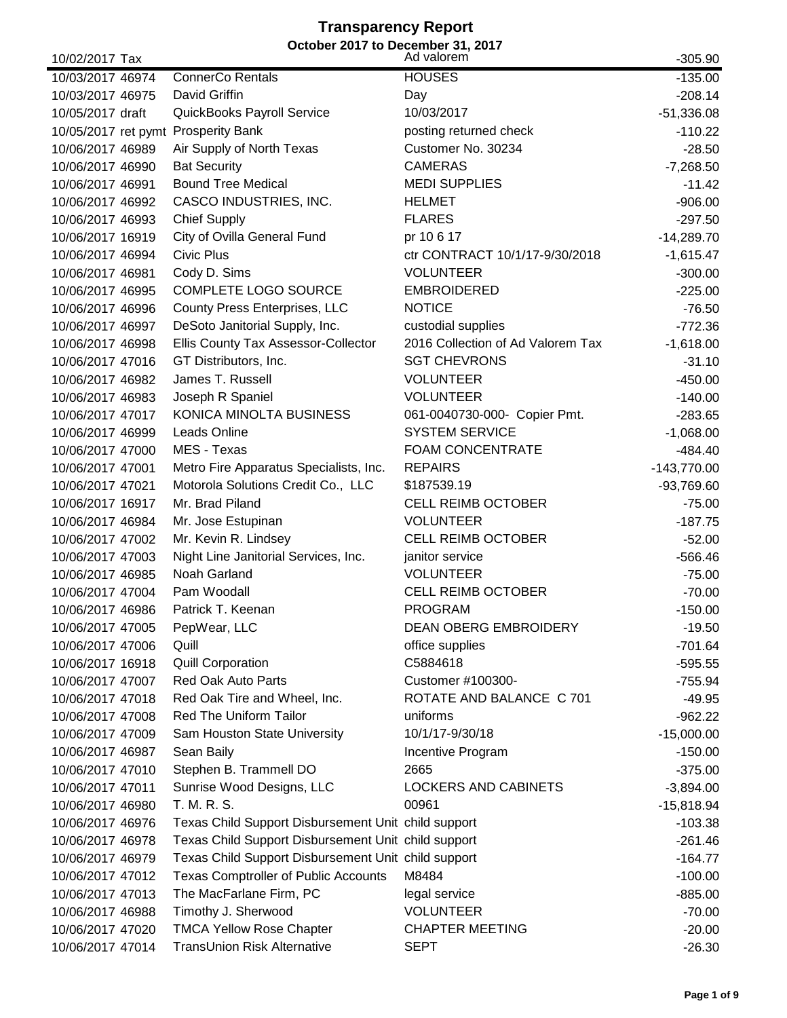#### **Transparency Report October 2017 to December 31, 2017**

| 10/02/2017 Tax   | October 2017 to December 31, 2017                   | Ad valorem                        | $-305.90$     |
|------------------|-----------------------------------------------------|-----------------------------------|---------------|
| 10/03/2017 46974 | <b>ConnerCo Rentals</b>                             | <b>HOUSES</b>                     | $-135.00$     |
| 10/03/2017 46975 | David Griffin                                       | Day                               | $-208.14$     |
| 10/05/2017 draft | QuickBooks Payroll Service                          | 10/03/2017                        | $-51,336.08$  |
|                  | 10/05/2017 ret pymt Prosperity Bank                 | posting returned check            | $-110.22$     |
| 10/06/2017 46989 | Air Supply of North Texas                           | Customer No. 30234                | $-28.50$      |
| 10/06/2017 46990 | <b>Bat Security</b>                                 | <b>CAMERAS</b>                    | $-7,268.50$   |
| 10/06/2017 46991 | <b>Bound Tree Medical</b>                           | <b>MEDI SUPPLIES</b>              | $-11.42$      |
| 10/06/2017 46992 | CASCO INDUSTRIES, INC.                              | <b>HELMET</b>                     | $-906.00$     |
| 10/06/2017 46993 | <b>Chief Supply</b>                                 | <b>FLARES</b>                     | $-297.50$     |
| 10/06/2017 16919 | City of Ovilla General Fund                         | pr 10 6 17                        | $-14,289.70$  |
| 10/06/2017 46994 | Civic Plus                                          | ctr CONTRACT 10/1/17-9/30/2018    | $-1,615.47$   |
| 10/06/2017 46981 | Cody D. Sims                                        | <b>VOLUNTEER</b>                  | $-300.00$     |
| 10/06/2017 46995 | COMPLETE LOGO SOURCE                                | <b>EMBROIDERED</b>                | $-225.00$     |
| 10/06/2017 46996 | County Press Enterprises, LLC                       | <b>NOTICE</b>                     | $-76.50$      |
| 10/06/2017 46997 | DeSoto Janitorial Supply, Inc.                      | custodial supplies                | $-772.36$     |
| 10/06/2017 46998 | Ellis County Tax Assessor-Collector                 | 2016 Collection of Ad Valorem Tax | $-1,618.00$   |
| 10/06/2017 47016 | GT Distributors, Inc.                               | <b>SGT CHEVRONS</b>               | $-31.10$      |
| 10/06/2017 46982 | James T. Russell                                    | <b>VOLUNTEER</b>                  | $-450.00$     |
| 10/06/2017 46983 | Joseph R Spaniel                                    | <b>VOLUNTEER</b>                  | $-140.00$     |
| 10/06/2017 47017 | KONICA MINOLTA BUSINESS                             | 061-0040730-000- Copier Pmt.      | $-283.65$     |
| 10/06/2017 46999 | Leads Online                                        | <b>SYSTEM SERVICE</b>             | $-1,068.00$   |
| 10/06/2017 47000 | MES - Texas                                         | <b>FOAM CONCENTRATE</b>           | $-484.40$     |
| 10/06/2017 47001 | Metro Fire Apparatus Specialists, Inc.              | <b>REPAIRS</b>                    | $-143,770.00$ |
| 10/06/2017 47021 | Motorola Solutions Credit Co., LLC                  | \$187539.19                       | $-93,769.60$  |
| 10/06/2017 16917 | Mr. Brad Piland                                     | <b>CELL REIMB OCTOBER</b>         | $-75.00$      |
| 10/06/2017 46984 | Mr. Jose Estupinan                                  | <b>VOLUNTEER</b>                  | $-187.75$     |
| 10/06/2017 47002 | Mr. Kevin R. Lindsey                                | <b>CELL REIMB OCTOBER</b>         | $-52.00$      |
| 10/06/2017 47003 | Night Line Janitorial Services, Inc.                | janitor service                   | $-566.46$     |
| 10/06/2017 46985 | Noah Garland                                        | <b>VOLUNTEER</b>                  | $-75.00$      |
| 10/06/2017 47004 | Pam Woodall                                         | <b>CELL REIMB OCTOBER</b>         | $-70.00$      |
| 10/06/2017 46986 | Patrick T. Keenan                                   | <b>PROGRAM</b>                    | $-150.00$     |
| 10/06/2017 47005 | PepWear, LLC                                        | <b>DEAN OBERG EMBROIDERY</b>      | $-19.50$      |
| 10/06/2017 47006 | Quill                                               | office supplies                   | $-701.64$     |
| 10/06/2017 16918 | <b>Quill Corporation</b>                            | C5884618                          | $-595.55$     |
| 10/06/2017 47007 | <b>Red Oak Auto Parts</b>                           | Customer #100300-                 | $-755.94$     |
| 10/06/2017 47018 | Red Oak Tire and Wheel, Inc.                        | ROTATE AND BALANCE C 701          | $-49.95$      |
| 10/06/2017 47008 | <b>Red The Uniform Tailor</b>                       | uniforms                          | $-962.22$     |
| 10/06/2017 47009 | Sam Houston State University                        | 10/1/17-9/30/18                   | $-15,000.00$  |
| 10/06/2017 46987 | Sean Baily                                          | Incentive Program                 | $-150.00$     |
| 10/06/2017 47010 | Stephen B. Trammell DO                              | 2665                              | $-375.00$     |
| 10/06/2017 47011 | Sunrise Wood Designs, LLC                           | <b>LOCKERS AND CABINETS</b>       | $-3,894.00$   |
| 10/06/2017 46980 | T. M. R. S.                                         | 00961                             | $-15,818.94$  |
| 10/06/2017 46976 | Texas Child Support Disbursement Unit child support |                                   | $-103.38$     |
| 10/06/2017 46978 | Texas Child Support Disbursement Unit child support |                                   | $-261.46$     |
| 10/06/2017 46979 | Texas Child Support Disbursement Unit child support |                                   | $-164.77$     |
| 10/06/2017 47012 | <b>Texas Comptroller of Public Accounts</b>         | M8484                             | $-100.00$     |
| 10/06/2017 47013 | The MacFarlane Firm, PC                             | legal service                     | $-885.00$     |
| 10/06/2017 46988 | Timothy J. Sherwood                                 | <b>VOLUNTEER</b>                  | $-70.00$      |
| 10/06/2017 47020 | <b>TMCA Yellow Rose Chapter</b>                     | <b>CHAPTER MEETING</b>            | $-20.00$      |
| 10/06/2017 47014 | TransUnion Risk Alternative                         | <b>SEPT</b>                       | $-26.30$      |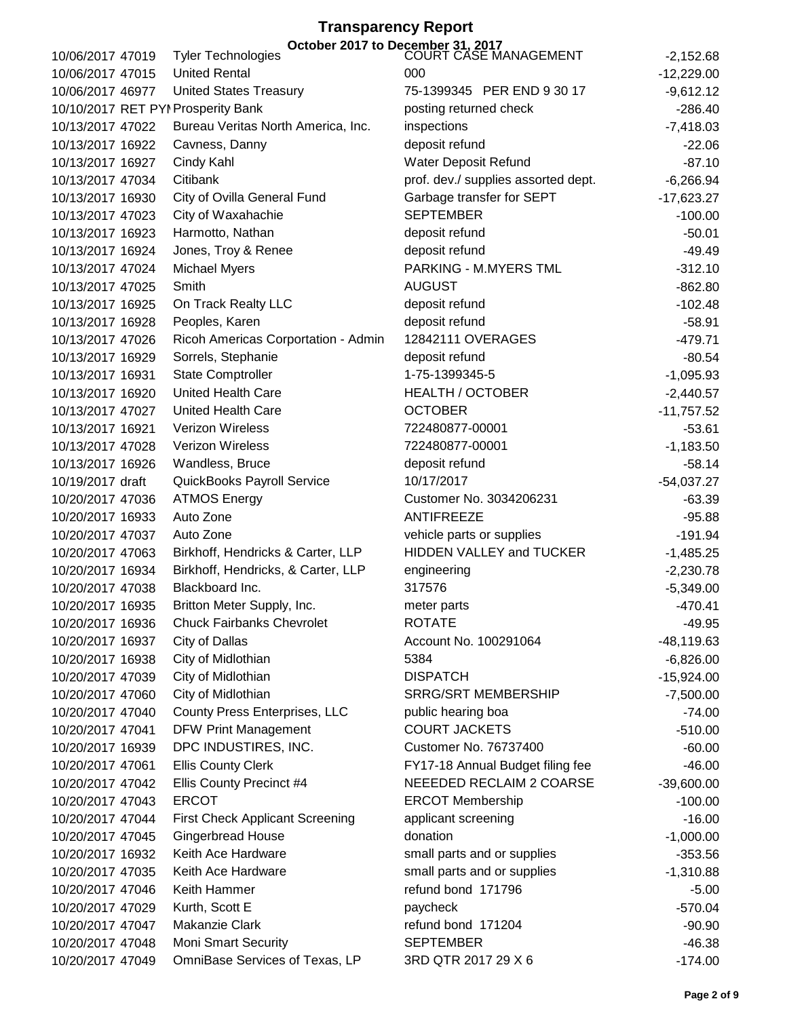| 10/06/2017 47019                     | <b>Tyler Technologies</b>              | October 2017 to December 31, 2017<br>COURT CASE MANAGEMENT |                          |
|--------------------------------------|----------------------------------------|------------------------------------------------------------|--------------------------|
|                                      | <b>United Rental</b>                   | 000                                                        | $-2,152.68$              |
| 10/06/2017 47015<br>10/06/2017 46977 | <b>United States Treasury</b>          | 75-1399345 PER END 9 30 17                                 | $-12,229.00$             |
|                                      |                                        | posting returned check                                     | $-9,612.12$<br>$-286.40$ |
|                                      | 10/10/2017 RET PYI Prosperity Bank     |                                                            |                          |
| 10/13/2017 47022                     | Bureau Veritas North America, Inc.     | inspections                                                | $-7,418.03$              |
| 10/13/2017 16922                     | Cavness, Danny                         | deposit refund                                             | $-22.06$                 |
| 10/13/2017 16927                     | Cindy Kahl                             | Water Deposit Refund                                       | $-87.10$                 |
| 10/13/2017 47034                     | Citibank                               | prof. dev./ supplies assorted dept.                        | $-6,266.94$              |
| 10/13/2017 16930                     | City of Ovilla General Fund            | Garbage transfer for SEPT                                  | $-17,623.27$             |
| 10/13/2017 47023                     | City of Waxahachie                     | <b>SEPTEMBER</b>                                           | $-100.00$                |
| 10/13/2017 16923                     | Harmotto, Nathan                       | deposit refund                                             | $-50.01$                 |
| 10/13/2017 16924                     | Jones, Troy & Renee                    | deposit refund                                             | $-49.49$                 |
| 10/13/2017 47024                     | <b>Michael Myers</b>                   | PARKING - M.MYERS TML                                      | $-312.10$                |
| 10/13/2017 47025                     | Smith                                  | <b>AUGUST</b>                                              | $-862.80$                |
| 10/13/2017 16925                     | On Track Realty LLC                    | deposit refund                                             | $-102.48$                |
| 10/13/2017 16928                     | Peoples, Karen                         | deposit refund                                             | $-58.91$                 |
| 10/13/2017 47026                     | Ricoh Americas Corportation - Admin    | 12842111 OVERAGES                                          | $-479.71$                |
| 10/13/2017 16929                     | Sorrels, Stephanie                     | deposit refund                                             | $-80.54$                 |
| 10/13/2017 16931                     | <b>State Comptroller</b>               | 1-75-1399345-5                                             | $-1,095.93$              |
| 10/13/2017 16920                     | <b>United Health Care</b>              | <b>HEALTH / OCTOBER</b>                                    | $-2,440.57$              |
| 10/13/2017 47027                     | <b>United Health Care</b>              | <b>OCTOBER</b>                                             | $-11,757.52$             |
| 10/13/2017 16921                     | Verizon Wireless                       | 722480877-00001                                            | $-53.61$                 |
| 10/13/2017 47028                     | Verizon Wireless                       | 722480877-00001                                            | $-1,183.50$              |
| 10/13/2017 16926                     | Wandless, Bruce                        | deposit refund                                             | $-58.14$                 |
| 10/19/2017 draft                     | QuickBooks Payroll Service             | 10/17/2017                                                 | $-54,037.27$             |
| 10/20/2017 47036                     | <b>ATMOS Energy</b>                    | Customer No. 3034206231                                    | $-63.39$                 |
| 10/20/2017 16933                     | Auto Zone                              | <b>ANTIFREEZE</b>                                          | $-95.88$                 |
| 10/20/2017 47037                     | Auto Zone                              | vehicle parts or supplies                                  | $-191.94$                |
| 10/20/2017 47063                     | Birkhoff, Hendricks & Carter, LLP      | HIDDEN VALLEY and TUCKER                                   | $-1,485.25$              |
| 10/20/2017 16934                     | Birkhoff, Hendricks, & Carter, LLP     | engineering                                                | $-2,230.78$              |
| 10/20/2017 47038                     | Blackboard Inc.                        | 317576                                                     | $-5,349.00$              |
| 10/20/2017 16935                     | Britton Meter Supply, Inc.             | meter parts                                                | $-470.41$                |
| 10/20/2017 16936                     | <b>Chuck Fairbanks Chevrolet</b>       | <b>ROTATE</b>                                              | $-49.95$                 |
| 10/20/2017 16937                     | City of Dallas                         | Account No. 100291064                                      | $-48,119.63$             |
| 10/20/2017 16938                     | City of Midlothian                     | 5384                                                       | $-6,826.00$              |
| 10/20/2017 47039                     | City of Midlothian                     | <b>DISPATCH</b>                                            | $-15,924.00$             |
| 10/20/2017 47060                     | City of Midlothian                     | <b>SRRG/SRT MEMBERSHIP</b>                                 | $-7,500.00$              |
| 10/20/2017 47040                     | County Press Enterprises, LLC          | public hearing boa                                         | $-74.00$                 |
| 10/20/2017 47041                     | <b>DFW Print Management</b>            | <b>COURT JACKETS</b>                                       | $-510.00$                |
| 10/20/2017 16939                     | DPC INDUSTIRES, INC.                   | <b>Customer No. 76737400</b>                               | $-60.00$                 |
| 10/20/2017 47061                     | <b>Ellis County Clerk</b>              | FY17-18 Annual Budget filing fee                           | $-46.00$                 |
| 10/20/2017 47042                     | Ellis County Precinct #4               | NEEEDED RECLAIM 2 COARSE                                   | $-39,600.00$             |
| 10/20/2017 47043                     | <b>ERCOT</b>                           | <b>ERCOT Membership</b>                                    | $-100.00$                |
| 10/20/2017 47044                     | <b>First Check Applicant Screening</b> | applicant screening                                        | $-16.00$                 |
| 10/20/2017 47045                     | <b>Gingerbread House</b>               | donation                                                   | $-1,000.00$              |
| 10/20/2017 16932                     | Keith Ace Hardware                     | small parts and or supplies                                | $-353.56$                |
| 10/20/2017 47035                     | Keith Ace Hardware                     | small parts and or supplies                                | $-1,310.88$              |
| 10/20/2017 47046                     | Keith Hammer                           | refund bond 171796                                         | $-5.00$                  |
| 10/20/2017 47029                     | Kurth, Scott E                         | paycheck                                                   | $-570.04$                |
| 10/20/2017 47047                     | Makanzie Clark                         | refund bond 171204                                         | $-90.90$                 |
| 10/20/2017 47048                     | <b>Moni Smart Security</b>             | <b>SEPTEMBER</b>                                           | $-46.38$                 |
| 10/20/2017 47049                     | OmniBase Services of Texas, LP         | 3RD QTR 2017 29 X 6                                        | $-174.00$                |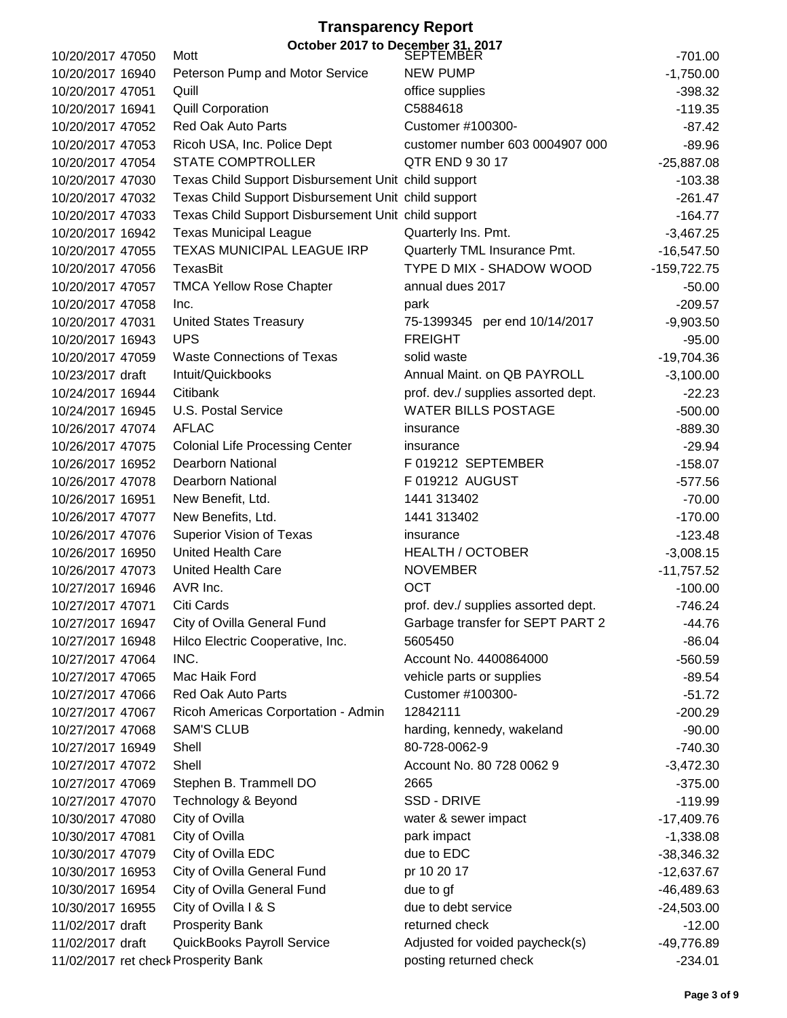### **Transparency Report**  $\frac{1}{2}$  October 2017 to December 31, 2017

| 10/20/2017 47050                     | Mott                                                | <b>SEPTEMBER</b>                    | $-701.00$     |
|--------------------------------------|-----------------------------------------------------|-------------------------------------|---------------|
| 10/20/2017 16940                     | Peterson Pump and Motor Service                     | <b>NEW PUMP</b>                     | $-1,750.00$   |
| 10/20/2017 47051                     | Quill                                               | office supplies                     | $-398.32$     |
| 10/20/2017 16941                     | <b>Quill Corporation</b>                            | C5884618                            | $-119.35$     |
| 10/20/2017 47052                     | <b>Red Oak Auto Parts</b>                           | Customer #100300-                   | $-87.42$      |
| 10/20/2017 47053                     | Ricoh USA, Inc. Police Dept                         | customer number 603 0004907 000     | $-89.96$      |
| 10/20/2017 47054                     | <b>STATE COMPTROLLER</b>                            | QTR END 9 30 17                     | $-25,887.08$  |
| 10/20/2017 47030                     | Texas Child Support Disbursement Unit child support |                                     | $-103.38$     |
| 10/20/2017 47032                     | Texas Child Support Disbursement Unit child support |                                     | $-261.47$     |
| 10/20/2017 47033                     | Texas Child Support Disbursement Unit child support |                                     | $-164.77$     |
| 10/20/2017 16942                     | <b>Texas Municipal League</b>                       | Quarterly Ins. Pmt.                 | $-3,467.25$   |
| 10/20/2017 47055                     | TEXAS MUNICIPAL LEAGUE IRP                          | Quarterly TML Insurance Pmt.        | $-16,547.50$  |
| 10/20/2017 47056                     | TexasBit                                            | TYPE D MIX - SHADOW WOOD            | $-159,722.75$ |
| 10/20/2017 47057                     | <b>TMCA Yellow Rose Chapter</b>                     | annual dues 2017                    | $-50.00$      |
| 10/20/2017 47058                     | Inc.                                                | park                                | $-209.57$     |
| 10/20/2017 47031                     | <b>United States Treasury</b>                       | 75-1399345 per end 10/14/2017       | $-9,903.50$   |
| 10/20/2017 16943                     | <b>UPS</b>                                          | <b>FREIGHT</b>                      | $-95.00$      |
| 10/20/2017 47059                     | <b>Waste Connections of Texas</b>                   | solid waste                         | $-19,704.36$  |
| 10/23/2017 draft                     | Intuit/Quickbooks                                   | Annual Maint. on QB PAYROLL         | $-3,100.00$   |
| 10/24/2017 16944                     | Citibank                                            | prof. dev./ supplies assorted dept. | $-22.23$      |
| 10/24/2017 16945                     | U.S. Postal Service                                 | <b>WATER BILLS POSTAGE</b>          | $-500.00$     |
| 10/26/2017 47074                     | <b>AFLAC</b>                                        | insurance                           | $-889.30$     |
| 10/26/2017 47075                     | <b>Colonial Life Processing Center</b>              | insurance                           | $-29.94$      |
| 10/26/2017 16952                     | <b>Dearborn National</b>                            | F 019212 SEPTEMBER                  | $-158.07$     |
| 10/26/2017 47078                     | <b>Dearborn National</b>                            | F 019212 AUGUST                     | $-577.56$     |
| 10/26/2017 16951                     | New Benefit, Ltd.                                   | 1441 313402                         | $-70.00$      |
| 10/26/2017 47077                     | New Benefits, Ltd.                                  | 1441 313402                         | $-170.00$     |
| 10/26/2017 47076                     | Superior Vision of Texas                            | insurance                           | $-123.48$     |
| 10/26/2017 16950                     | <b>United Health Care</b>                           | <b>HEALTH / OCTOBER</b>             | $-3,008.15$   |
| 10/26/2017 47073                     | <b>United Health Care</b>                           | <b>NOVEMBER</b>                     | $-11,757.52$  |
| 10/27/2017 16946                     | AVR Inc.                                            | <b>OCT</b>                          | $-100.00$     |
| 10/27/2017 47071                     | Citi Cards                                          | prof. dev./ supplies assorted dept. | $-746.24$     |
| 10/27/2017 16947                     | City of Ovilla General Fund                         | Garbage transfer for SEPT PART 2    | $-44.76$      |
| 10/27/2017 16948                     | Hilco Electric Cooperative, Inc.                    | 5605450                             | $-86.04$      |
| 10/27/2017 47064                     | INC.                                                | Account No. 4400864000              | $-560.59$     |
| 10/27/2017 47065                     | Mac Haik Ford                                       | vehicle parts or supplies           | $-89.54$      |
| 10/27/2017 47066                     | <b>Red Oak Auto Parts</b>                           | Customer #100300-                   | $-51.72$      |
| 10/27/2017 47067                     | Ricoh Americas Corportation - Admin                 | 12842111                            | $-200.29$     |
| 10/27/2017 47068                     | <b>SAM'S CLUB</b>                                   | harding, kennedy, wakeland          | $-90.00$      |
| 10/27/2017 16949                     | Shell                                               | 80-728-0062-9                       | $-740.30$     |
| 10/27/2017 47072                     | Shell                                               | Account No. 80 728 0062 9           | $-3,472.30$   |
| 10/27/2017 47069                     | Stephen B. Trammell DO                              | 2665                                | $-375.00$     |
| 10/27/2017 47070                     | Technology & Beyond                                 | SSD - DRIVE                         |               |
|                                      |                                                     |                                     | $-119.99$     |
| 10/30/2017 47080<br>10/30/2017 47081 | City of Ovilla<br>City of Ovilla                    | water & sewer impact                | $-17,409.76$  |
|                                      |                                                     | park impact                         | $-1,338.08$   |
| 10/30/2017 47079                     | City of Ovilla EDC                                  | due to EDC                          | $-38,346.32$  |
| 10/30/2017 16953                     | City of Ovilla General Fund                         | pr 10 20 17                         | $-12,637.67$  |
| 10/30/2017 16954                     | City of Ovilla General Fund                         | due to gf                           | -46,489.63    |
| 10/30/2017 16955                     | City of Ovilla I & S                                | due to debt service                 | $-24,503.00$  |
| 11/02/2017 draft                     | <b>Prosperity Bank</b>                              | returned check                      | $-12.00$      |
| 11/02/2017 draft                     | QuickBooks Payroll Service                          | Adjusted for voided paycheck(s)     | -49,776.89    |
| 11/02/2017 ret check Prosperity Bank |                                                     | posting returned check              | $-234.01$     |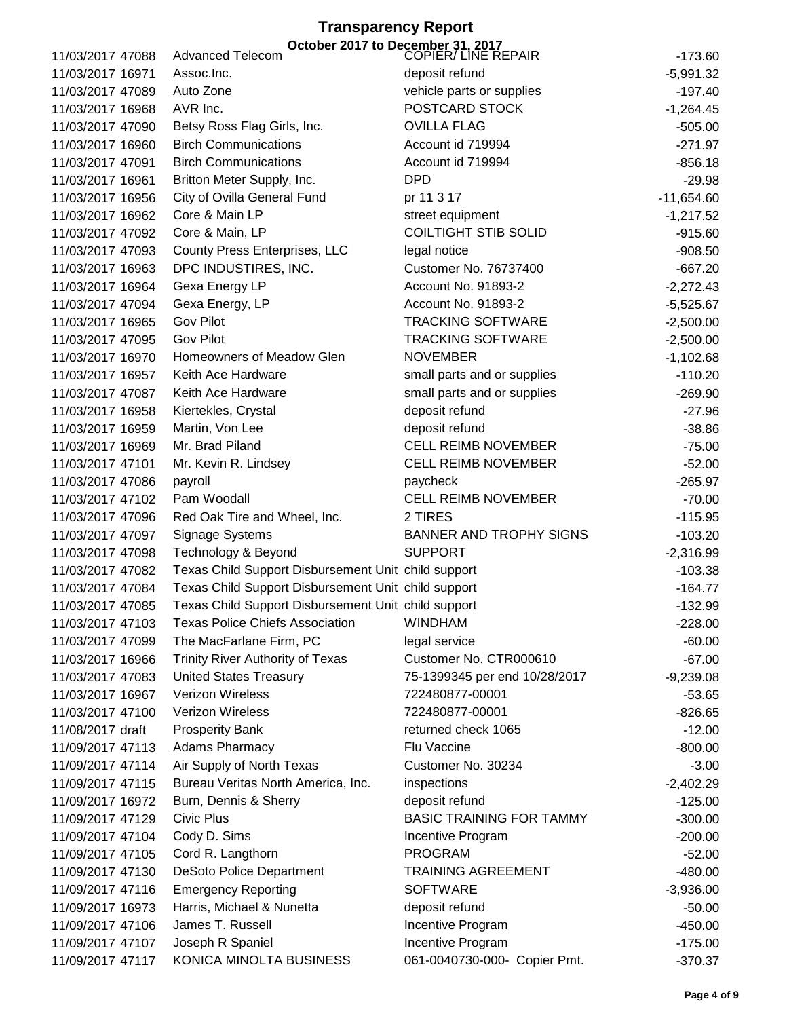|                  |                                                     | October 2017 to December 31, 2017<br>COPIER/ LINE REPAIR |              |
|------------------|-----------------------------------------------------|----------------------------------------------------------|--------------|
| 11/03/2017 47088 | <b>Advanced Telecom</b>                             |                                                          | $-173.60$    |
| 11/03/2017 16971 | Assoc.Inc.                                          | deposit refund                                           | $-5,991.32$  |
| 11/03/2017 47089 | Auto Zone                                           | vehicle parts or supplies                                | $-197.40$    |
| 11/03/2017 16968 | AVR Inc.                                            | POSTCARD STOCK                                           | $-1,264.45$  |
| 11/03/2017 47090 | Betsy Ross Flag Girls, Inc.                         | <b>OVILLA FLAG</b>                                       | $-505.00$    |
| 11/03/2017 16960 | <b>Birch Communications</b>                         | Account id 719994                                        | $-271.97$    |
| 11/03/2017 47091 | <b>Birch Communications</b>                         | Account id 719994                                        | $-856.18$    |
| 11/03/2017 16961 | Britton Meter Supply, Inc.                          | <b>DPD</b>                                               | $-29.98$     |
| 11/03/2017 16956 | City of Ovilla General Fund                         | pr 11 3 17                                               | $-11,654.60$ |
| 11/03/2017 16962 | Core & Main LP                                      | street equipment                                         | $-1,217.52$  |
| 11/03/2017 47092 | Core & Main, LP                                     | <b>COILTIGHT STIB SOLID</b>                              | $-915.60$    |
| 11/03/2017 47093 | <b>County Press Enterprises, LLC</b>                | legal notice                                             | $-908.50$    |
| 11/03/2017 16963 | DPC INDUSTIRES, INC.                                | <b>Customer No. 76737400</b>                             | $-667.20$    |
| 11/03/2017 16964 | Gexa Energy LP                                      | Account No. 91893-2                                      | $-2,272.43$  |
| 11/03/2017 47094 | Gexa Energy, LP                                     | Account No. 91893-2                                      | $-5,525.67$  |
| 11/03/2017 16965 | <b>Gov Pilot</b>                                    | <b>TRACKING SOFTWARE</b>                                 | $-2,500.00$  |
| 11/03/2017 47095 | <b>Gov Pilot</b>                                    | <b>TRACKING SOFTWARE</b>                                 | $-2,500.00$  |
| 11/03/2017 16970 | Homeowners of Meadow Glen                           | <b>NOVEMBER</b>                                          | $-1,102.68$  |
| 11/03/2017 16957 | Keith Ace Hardware                                  | small parts and or supplies                              | $-110.20$    |
| 11/03/2017 47087 | Keith Ace Hardware                                  | small parts and or supplies                              | $-269.90$    |
| 11/03/2017 16958 | Kiertekles, Crystal                                 | deposit refund                                           | $-27.96$     |
| 11/03/2017 16959 | Martin, Von Lee                                     | deposit refund                                           | $-38.86$     |
| 11/03/2017 16969 | Mr. Brad Piland                                     | <b>CELL REIMB NOVEMBER</b>                               | $-75.00$     |
| 11/03/2017 47101 | Mr. Kevin R. Lindsey                                | <b>CELL REIMB NOVEMBER</b>                               | $-52.00$     |
| 11/03/2017 47086 | payroll                                             | paycheck                                                 | $-265.97$    |
| 11/03/2017 47102 | Pam Woodall                                         | <b>CELL REIMB NOVEMBER</b>                               | $-70.00$     |
| 11/03/2017 47096 | Red Oak Tire and Wheel, Inc.                        | 2 TIRES                                                  | $-115.95$    |
| 11/03/2017 47097 | Signage Systems                                     | <b>BANNER AND TROPHY SIGNS</b>                           | $-103.20$    |
| 11/03/2017 47098 | Technology & Beyond                                 | <b>SUPPORT</b>                                           | $-2,316.99$  |
| 11/03/2017 47082 | Texas Child Support Disbursement Unit child support |                                                          | $-103.38$    |
| 11/03/2017 47084 | Texas Child Support Disbursement Unit child support |                                                          | $-164.77$    |
| 11/03/2017 47085 | Texas Child Support Disbursement Unit child support |                                                          | $-132.99$    |
| 11/03/2017 47103 | <b>Texas Police Chiefs Association</b>              | <b>WINDHAM</b>                                           | $-228.00$    |
| 11/03/2017 47099 | The MacFarlane Firm, PC                             | legal service                                            | $-60.00$     |
| 11/03/2017 16966 | <b>Trinity River Authority of Texas</b>             | Customer No. CTR000610                                   | $-67.00$     |
| 11/03/2017 47083 | <b>United States Treasury</b>                       | 75-1399345 per end 10/28/2017                            | $-9,239.08$  |
| 11/03/2017 16967 | Verizon Wireless                                    | 722480877-00001                                          | $-53.65$     |
| 11/03/2017 47100 | Verizon Wireless                                    | 722480877-00001                                          |              |
| 11/08/2017 draft |                                                     | returned check 1065                                      | $-826.65$    |
|                  | <b>Prosperity Bank</b>                              |                                                          | $-12.00$     |
| 11/09/2017 47113 | <b>Adams Pharmacy</b>                               | Flu Vaccine                                              | $-800.00$    |
| 11/09/2017 47114 | Air Supply of North Texas                           | Customer No. 30234                                       | $-3.00$      |
| 11/09/2017 47115 | Bureau Veritas North America, Inc.                  | inspections                                              | $-2,402.29$  |
| 11/09/2017 16972 | Burn, Dennis & Sherry                               | deposit refund                                           | $-125.00$    |
| 11/09/2017 47129 | Civic Plus                                          | <b>BASIC TRAINING FOR TAMMY</b>                          | $-300.00$    |
| 11/09/2017 47104 | Cody D. Sims                                        | Incentive Program                                        | $-200.00$    |
| 11/09/2017 47105 | Cord R. Langthorn                                   | <b>PROGRAM</b>                                           | $-52.00$     |
| 11/09/2017 47130 | <b>DeSoto Police Department</b>                     | <b>TRAINING AGREEMENT</b>                                | $-480.00$    |
| 11/09/2017 47116 | <b>Emergency Reporting</b>                          | <b>SOFTWARE</b>                                          | $-3,936.00$  |
| 11/09/2017 16973 | Harris, Michael & Nunetta                           | deposit refund                                           | $-50.00$     |
| 11/09/2017 47106 | James T. Russell                                    | Incentive Program                                        | $-450.00$    |
| 11/09/2017 47107 | Joseph R Spaniel                                    | Incentive Program                                        | $-175.00$    |
| 11/09/2017 47117 | KONICA MINOLTA BUSINESS                             | 061-0040730-000- Copier Pmt.                             | $-370.37$    |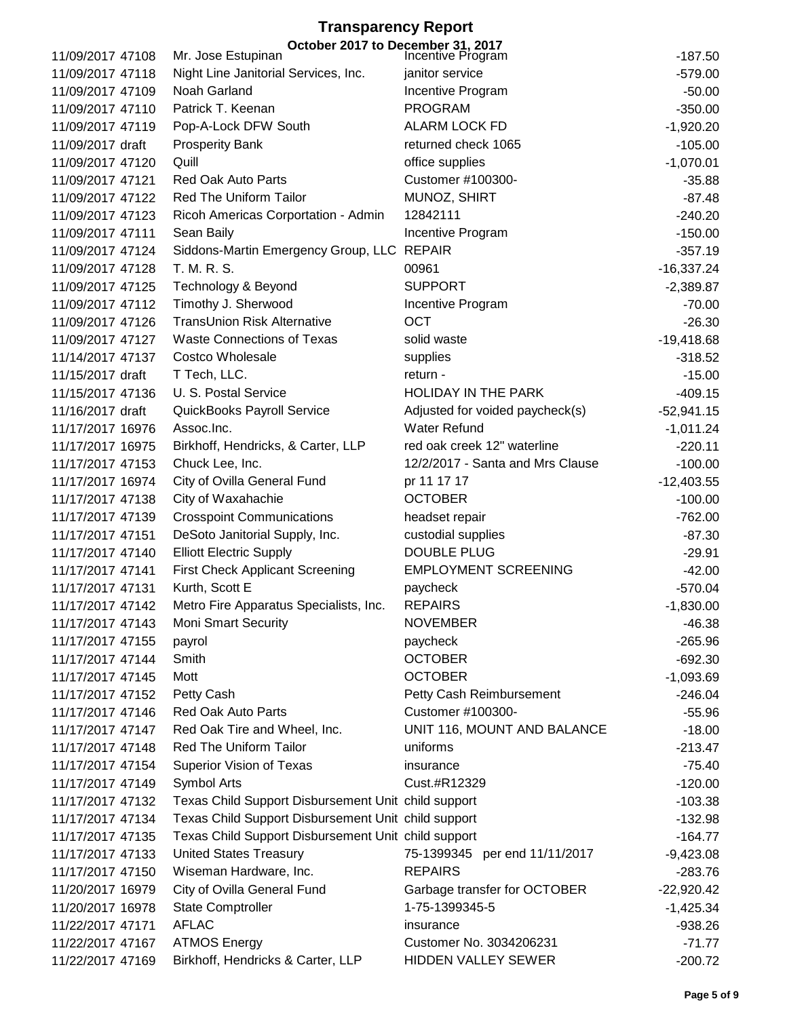|                                      | October 2017 to December 31, 2017<br>Incentive Program<br>Mr. Jose Estupinan |                                     | $-187.50$             |
|--------------------------------------|------------------------------------------------------------------------------|-------------------------------------|-----------------------|
| 11/09/2017 47108<br>11/09/2017 47118 |                                                                              | janitor service                     |                       |
| 11/09/2017 47109                     | Night Line Janitorial Services, Inc.<br>Noah Garland                         |                                     | $-579.00$<br>$-50.00$ |
| 11/09/2017 47110                     | Patrick T. Keenan                                                            | Incentive Program<br><b>PROGRAM</b> | $-350.00$             |
|                                      |                                                                              | <b>ALARM LOCK FD</b>                |                       |
| 11/09/2017 47119                     | Pop-A-Lock DFW South                                                         |                                     | $-1,920.20$           |
| 11/09/2017 draft                     | <b>Prosperity Bank</b>                                                       | returned check 1065                 | $-105.00$             |
| 11/09/2017 47120                     | Quill                                                                        | office supplies                     | $-1,070.01$           |
| 11/09/2017 47121                     | <b>Red Oak Auto Parts</b>                                                    | Customer #100300-                   | $-35.88$              |
| 11/09/2017 47122                     | Red The Uniform Tailor                                                       | MUNOZ, SHIRT                        | $-87.48$              |
| 11/09/2017 47123                     | Ricoh Americas Corportation - Admin                                          | 12842111                            | $-240.20$             |
| 11/09/2017 47111                     | Sean Baily                                                                   | Incentive Program                   | $-150.00$             |
| 11/09/2017 47124                     | Siddons-Martin Emergency Group, LLC REPAIR                                   |                                     | $-357.19$             |
| 11/09/2017 47128                     | T. M. R. S.                                                                  | 00961                               | $-16,337.24$          |
| 11/09/2017 47125                     | Technology & Beyond                                                          | <b>SUPPORT</b>                      | $-2,389.87$           |
| 11/09/2017 47112                     | Timothy J. Sherwood                                                          | Incentive Program                   | $-70.00$              |
| 11/09/2017 47126                     | <b>TransUnion Risk Alternative</b>                                           | <b>OCT</b>                          | $-26.30$              |
| 11/09/2017 47127                     | <b>Waste Connections of Texas</b>                                            | solid waste                         | $-19,418.68$          |
| 11/14/2017 47137                     | <b>Costco Wholesale</b>                                                      | supplies                            | $-318.52$             |
| 11/15/2017 draft                     | T Tech, LLC.                                                                 | return -                            | $-15.00$              |
| 11/15/2017 47136                     | U. S. Postal Service                                                         | <b>HOLIDAY IN THE PARK</b>          | $-409.15$             |
| 11/16/2017 draft                     | QuickBooks Payroll Service                                                   | Adjusted for voided paycheck(s)     | $-52,941.15$          |
| 11/17/2017 16976                     | Assoc.Inc.                                                                   | <b>Water Refund</b>                 | $-1,011.24$           |
| 11/17/2017 16975                     | Birkhoff, Hendricks, & Carter, LLP                                           | red oak creek 12" waterline         | $-220.11$             |
| 11/17/2017 47153                     | Chuck Lee, Inc.                                                              | 12/2/2017 - Santa and Mrs Clause    | $-100.00$             |
| 11/17/2017 16974                     | City of Ovilla General Fund                                                  | pr 11 17 17                         | $-12,403.55$          |
| 11/17/2017 47138                     | City of Waxahachie                                                           | <b>OCTOBER</b>                      | $-100.00$             |
| 11/17/2017 47139                     | <b>Crosspoint Communications</b>                                             | headset repair                      | $-762.00$             |
| 11/17/2017 47151                     | DeSoto Janitorial Supply, Inc.                                               | custodial supplies                  | $-87.30$              |
| 11/17/2017 47140                     | <b>Elliott Electric Supply</b>                                               | <b>DOUBLE PLUG</b>                  | $-29.91$              |
| 11/17/2017 47141                     | <b>First Check Applicant Screening</b>                                       | <b>EMPLOYMENT SCREENING</b>         | $-42.00$              |
| 11/17/2017 47131                     | Kurth, Scott E                                                               | paycheck                            | $-570.04$             |
| 11/17/2017 47142                     | Metro Fire Apparatus Specialists, Inc.                                       | <b>REPAIRS</b>                      | $-1,830.00$           |
| 11/17/2017 47143                     | <b>Moni Smart Security</b>                                                   | <b>NOVEMBER</b>                     | $-46.38$              |
| 11/17/2017 47155                     | payrol                                                                       | paycheck                            | $-265.96$             |
| 11/17/2017 47144                     | Smith                                                                        | <b>OCTOBER</b>                      | $-692.30$             |
| 11/17/2017 47145                     | Mott                                                                         | <b>OCTOBER</b>                      | $-1,093.69$           |
| 11/17/2017 47152                     | Petty Cash                                                                   | Petty Cash Reimbursement            | $-246.04$             |
| 11/17/2017 47146                     | <b>Red Oak Auto Parts</b>                                                    | Customer #100300-                   | $-55.96$              |
| 11/17/2017 47147                     | Red Oak Tire and Wheel, Inc.                                                 | UNIT 116, MOUNT AND BALANCE         | $-18.00$              |
| 11/17/2017 47148                     | Red The Uniform Tailor                                                       | uniforms                            | $-213.47$             |
| 11/17/2017 47154                     | <b>Superior Vision of Texas</b>                                              | insurance                           | $-75.40$              |
| 11/17/2017 47149                     | Symbol Arts                                                                  | Cust.#R12329                        | $-120.00$             |
| 11/17/2017 47132                     | Texas Child Support Disbursement Unit child support                          |                                     | $-103.38$             |
| 11/17/2017 47134                     | Texas Child Support Disbursement Unit child support                          |                                     | $-132.98$             |
| 11/17/2017 47135                     | Texas Child Support Disbursement Unit child support                          |                                     | $-164.77$             |
| 11/17/2017 47133                     | <b>United States Treasury</b>                                                | 75-1399345 per end 11/11/2017       | $-9,423.08$           |
| 11/17/2017 47150                     | Wiseman Hardware, Inc.                                                       | <b>REPAIRS</b>                      | $-283.76$             |
| 11/20/2017 16979                     | City of Ovilla General Fund                                                  | Garbage transfer for OCTOBER        | $-22,920.42$          |
| 11/20/2017 16978                     | <b>State Comptroller</b>                                                     | 1-75-1399345-5                      | $-1,425.34$           |
| 11/22/2017 47171                     | <b>AFLAC</b>                                                                 | insurance                           | $-938.26$             |
| 11/22/2017 47167                     | <b>ATMOS Energy</b>                                                          | Customer No. 3034206231             | $-71.77$              |
| 11/22/2017 47169                     | Birkhoff, Hendricks & Carter, LLP                                            | HIDDEN VALLEY SEWER                 | $-200.72$             |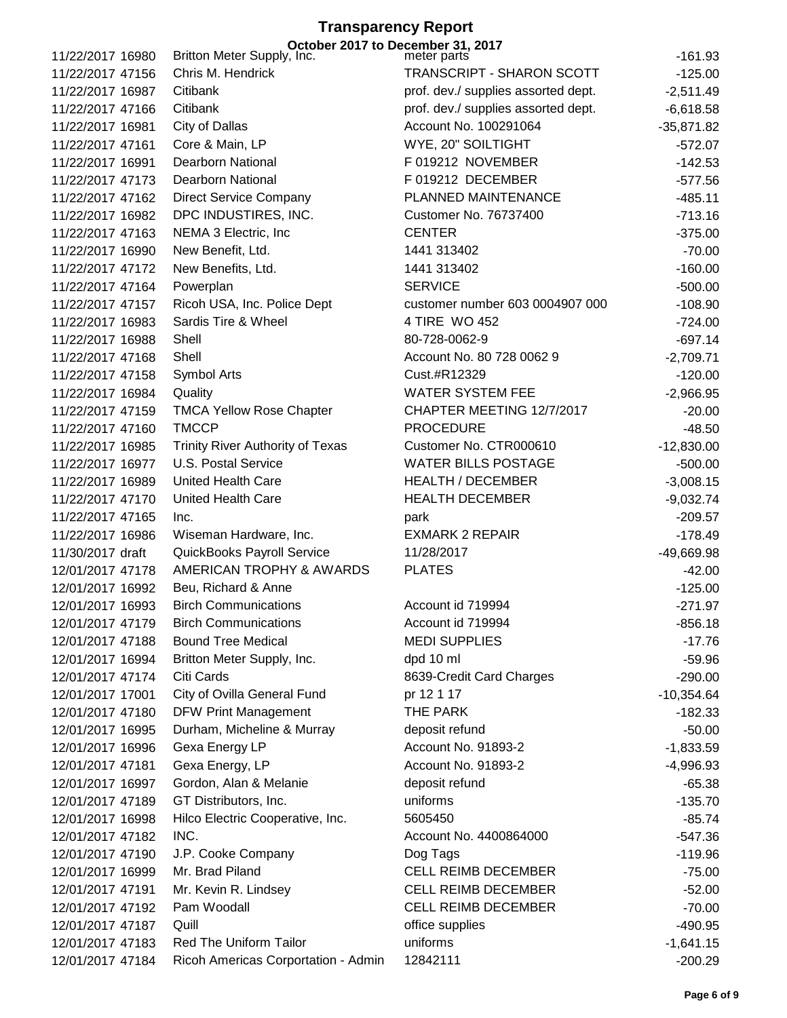#### **Transparency Report October 2017 to December 31, 2017**

| 11/22/2017 16980 | Britton Meter Supply, Inc.              | October zu is to beceniner on, zu is<br>meter parts | $-161.93$             |
|------------------|-----------------------------------------|-----------------------------------------------------|-----------------------|
| 11/22/2017 47156 | Chris M. Hendrick                       | TRANSCRIPT - SHARON SCOTT                           | $-125.00$             |
| 11/22/2017 16987 | Citibank                                | prof. dev./ supplies assorted dept.                 | $-2,511.49$           |
| 11/22/2017 47166 | Citibank                                | prof. dev./ supplies assorted dept.                 | $-6,618.58$           |
| 11/22/2017 16981 | City of Dallas                          | Account No. 100291064                               | $-35,871.82$          |
| 11/22/2017 47161 | Core & Main, LP                         | WYE, 20" SOILTIGHT                                  | $-572.07$             |
| 11/22/2017 16991 | <b>Dearborn National</b>                | F 019212 NOVEMBER                                   | $-142.53$             |
| 11/22/2017 47173 | <b>Dearborn National</b>                | F 019212 DECEMBER                                   | $-577.56$             |
| 11/22/2017 47162 | <b>Direct Service Company</b>           | PLANNED MAINTENANCE                                 | $-485.11$             |
| 11/22/2017 16982 | DPC INDUSTIRES, INC.                    | <b>Customer No. 76737400</b>                        | $-713.16$             |
| 11/22/2017 47163 | NEMA 3 Electric, Inc.                   | <b>CENTER</b>                                       | $-375.00$             |
| 11/22/2017 16990 | New Benefit, Ltd.                       | 1441 313402                                         | $-70.00$              |
| 11/22/2017 47172 | New Benefits, Ltd.                      | 1441 313402                                         | $-160.00$             |
| 11/22/2017 47164 | Powerplan                               | <b>SERVICE</b>                                      | $-500.00$             |
| 11/22/2017 47157 | Ricoh USA, Inc. Police Dept             | customer number 603 0004907 000                     | $-108.90$             |
| 11/22/2017 16983 | Sardis Tire & Wheel                     | 4 TIRE WO 452                                       | $-724.00$             |
| 11/22/2017 16988 | Shell                                   | 80-728-0062-9                                       | $-697.14$             |
| 11/22/2017 47168 | Shell                                   | Account No. 80 728 0062 9                           | $-2,709.71$           |
| 11/22/2017 47158 | Symbol Arts                             | Cust.#R12329                                        | $-120.00$             |
| 11/22/2017 16984 | Quality                                 | <b>WATER SYSTEM FEE</b>                             | $-2,966.95$           |
| 11/22/2017 47159 | <b>TMCA Yellow Rose Chapter</b>         | CHAPTER MEETING 12/7/2017                           | $-20.00$              |
| 11/22/2017 47160 | <b>TMCCP</b>                            | <b>PROCEDURE</b>                                    | $-48.50$              |
| 11/22/2017 16985 | <b>Trinity River Authority of Texas</b> | Customer No. CTR000610                              | $-12,830.00$          |
| 11/22/2017 16977 | U.S. Postal Service                     | <b>WATER BILLS POSTAGE</b>                          | $-500.00$             |
| 11/22/2017 16989 | <b>United Health Care</b>               | <b>HEALTH / DECEMBER</b>                            | $-3,008.15$           |
| 11/22/2017 47170 | United Health Care                      | <b>HEALTH DECEMBER</b>                              | $-9,032.74$           |
| 11/22/2017 47165 | Inc.                                    | park                                                | $-209.57$             |
| 11/22/2017 16986 | Wiseman Hardware, Inc.                  | <b>EXMARK 2 REPAIR</b>                              | $-178.49$             |
| 11/30/2017 draft | QuickBooks Payroll Service              | 11/28/2017                                          | -49,669.98            |
| 12/01/2017 47178 | AMERICAN TROPHY & AWARDS                | <b>PLATES</b>                                       | $-42.00$              |
| 12/01/2017 16992 | Beu, Richard & Anne                     |                                                     | $-125.00$             |
| 12/01/2017 16993 | <b>Birch Communications</b>             | Account id 719994                                   | $-271.97$             |
| 12/01/2017 47179 | <b>Birch Communications</b>             | Account id 719994                                   | $-856.18$             |
| 12/01/2017 47188 | <b>Bound Tree Medical</b>               | <b>MEDI SUPPLIES</b>                                | $-17.76$              |
| 12/01/2017 16994 | Britton Meter Supply, Inc.              | dpd 10 ml                                           | $-59.96$              |
| 12/01/2017 47174 | Citi Cards                              | 8639-Credit Card Charges                            | $-290.00$             |
| 12/01/2017 17001 | City of Ovilla General Fund             | pr 12 1 17                                          | $-10,354.64$          |
| 12/01/2017 47180 | <b>DFW Print Management</b>             | THE PARK                                            | $-182.33$             |
| 12/01/2017 16995 | Durham, Micheline & Murray              | deposit refund                                      | $-50.00$              |
| 12/01/2017 16996 | Gexa Energy LP                          | Account No. 91893-2                                 | $-1,833.59$           |
| 12/01/2017 47181 | Gexa Energy, LP                         | Account No. 91893-2                                 | $-4,996.93$           |
| 12/01/2017 16997 | Gordon, Alan & Melanie                  | deposit refund                                      | $-65.38$              |
| 12/01/2017 47189 | GT Distributors, Inc.                   | uniforms                                            | $-135.70$             |
| 12/01/2017 16998 | Hilco Electric Cooperative, Inc.        | 5605450                                             | $-85.74$              |
| 12/01/2017 47182 | INC.                                    | Account No. 4400864000                              | $-547.36$             |
| 12/01/2017 47190 |                                         | Dog Tags                                            |                       |
| 12/01/2017 16999 | J.P. Cooke Company<br>Mr. Brad Piland   | <b>CELL REIMB DECEMBER</b>                          | $-119.96$<br>$-75.00$ |
| 12/01/2017 47191 | Mr. Kevin R. Lindsey                    | <b>CELL REIMB DECEMBER</b>                          | $-52.00$              |
| 12/01/2017 47192 | Pam Woodall                             | <b>CELL REIMB DECEMBER</b>                          | $-70.00$              |
| 12/01/2017 47187 | Quill                                   | office supplies                                     | $-490.95$             |
| 12/01/2017 47183 | Red The Uniform Tailor                  | uniforms                                            | $-1,641.15$           |
| 12/01/2017 47184 | Ricoh Americas Corportation - Admin     | 12842111                                            | $-200.29$             |
|                  |                                         |                                                     |                       |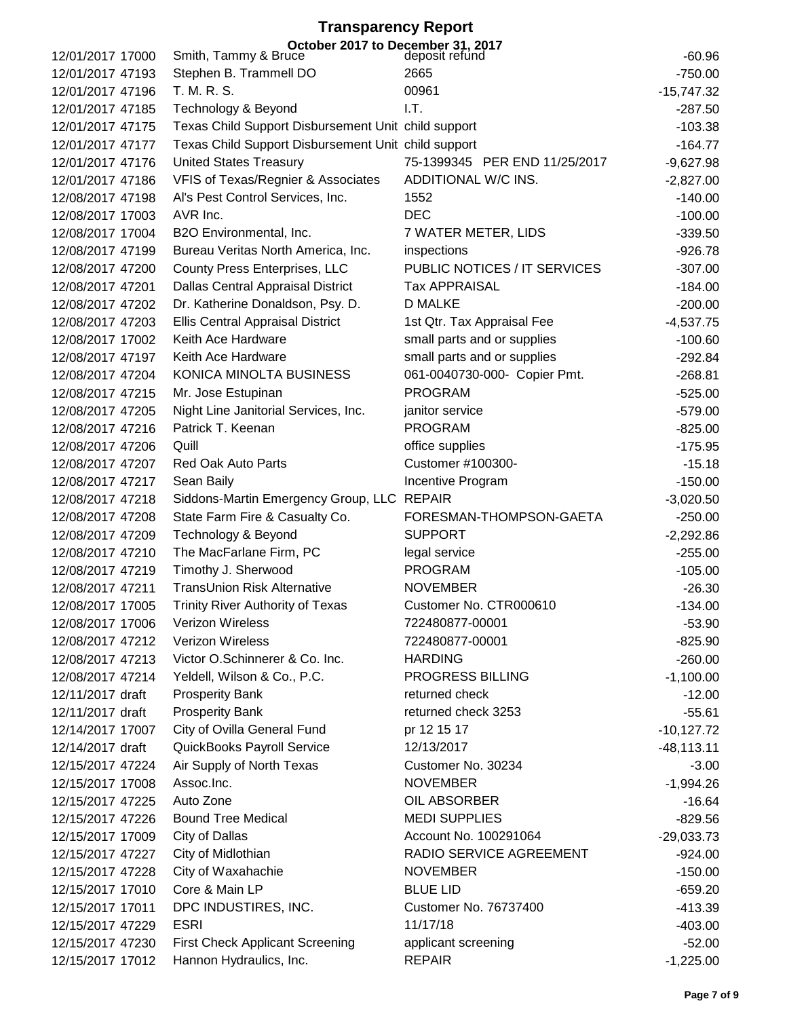|                  | October 2017 to December 31, 2017<br>uce deposit refund<br>Smith, Tammy & Bruce |                               |              |
|------------------|---------------------------------------------------------------------------------|-------------------------------|--------------|
| 12/01/2017 17000 |                                                                                 | 2665                          | $-60.96$     |
| 12/01/2017 47193 | Stephen B. Trammell DO                                                          |                               | $-750.00$    |
| 12/01/2017 47196 | T. M. R. S.                                                                     | 00961                         | $-15,747.32$ |
| 12/01/2017 47185 | Technology & Beyond                                                             | I.T.                          | $-287.50$    |
| 12/01/2017 47175 | Texas Child Support Disbursement Unit child support                             |                               | $-103.38$    |
| 12/01/2017 47177 | Texas Child Support Disbursement Unit child support                             |                               | $-164.77$    |
| 12/01/2017 47176 | <b>United States Treasury</b>                                                   | 75-1399345 PER END 11/25/2017 | $-9,627.98$  |
| 12/01/2017 47186 | VFIS of Texas/Regnier & Associates                                              | ADDITIONAL W/C INS.           | $-2,827.00$  |
| 12/08/2017 47198 | Al's Pest Control Services, Inc.                                                | 1552                          | $-140.00$    |
| 12/08/2017 17003 | AVR Inc.                                                                        | <b>DEC</b>                    | $-100.00$    |
| 12/08/2017 17004 | B2O Environmental, Inc.                                                         | 7 WATER METER, LIDS           | $-339.50$    |
| 12/08/2017 47199 | Bureau Veritas North America, Inc.                                              | inspections                   | $-926.78$    |
| 12/08/2017 47200 | <b>County Press Enterprises, LLC</b>                                            | PUBLIC NOTICES / IT SERVICES  | $-307.00$    |
| 12/08/2017 47201 | Dallas Central Appraisal District                                               | <b>Tax APPRAISAL</b>          | $-184.00$    |
| 12/08/2017 47202 | Dr. Katherine Donaldson, Psy. D.                                                | <b>D MALKE</b>                | $-200.00$    |
| 12/08/2017 47203 | <b>Ellis Central Appraisal District</b>                                         | 1st Qtr. Tax Appraisal Fee    | $-4,537.75$  |
| 12/08/2017 17002 | Keith Ace Hardware                                                              | small parts and or supplies   | $-100.60$    |
| 12/08/2017 47197 | Keith Ace Hardware                                                              | small parts and or supplies   | $-292.84$    |
| 12/08/2017 47204 | KONICA MINOLTA BUSINESS                                                         | 061-0040730-000- Copier Pmt.  | $-268.81$    |
| 12/08/2017 47215 | Mr. Jose Estupinan                                                              | <b>PROGRAM</b>                | $-525.00$    |
| 12/08/2017 47205 | Night Line Janitorial Services, Inc.                                            | janitor service               | $-579.00$    |
| 12/08/2017 47216 | Patrick T. Keenan                                                               | <b>PROGRAM</b>                | $-825.00$    |
| 12/08/2017 47206 | Quill                                                                           | office supplies               | $-175.95$    |
| 12/08/2017 47207 | <b>Red Oak Auto Parts</b>                                                       | Customer #100300-             | $-15.18$     |
| 12/08/2017 47217 | Sean Baily                                                                      | Incentive Program             | $-150.00$    |
| 12/08/2017 47218 | Siddons-Martin Emergency Group, LLC REPAIR                                      |                               | $-3,020.50$  |
| 12/08/2017 47208 | State Farm Fire & Casualty Co.                                                  | FORESMAN-THOMPSON-GAETA       | $-250.00$    |
| 12/08/2017 47209 | Technology & Beyond                                                             | <b>SUPPORT</b>                | $-2,292.86$  |
| 12/08/2017 47210 | The MacFarlane Firm, PC                                                         | legal service                 | $-255.00$    |
| 12/08/2017 47219 | Timothy J. Sherwood                                                             | <b>PROGRAM</b>                | $-105.00$    |
| 12/08/2017 47211 | <b>TransUnion Risk Alternative</b>                                              | <b>NOVEMBER</b>               | $-26.30$     |
| 12/08/2017 17005 | <b>Trinity River Authority of Texas</b>                                         | Customer No. CTR000610        | $-134.00$    |
| 12/08/2017 17006 | Verizon Wireless                                                                | 722480877-00001               | $-53.90$     |
| 12/08/2017 47212 | Verizon Wireless                                                                | 722480877-00001               | $-825.90$    |
| 12/08/2017 47213 | Victor O.Schinnerer & Co. Inc.                                                  | <b>HARDING</b>                | $-260.00$    |
| 12/08/2017 47214 | Yeldell, Wilson & Co., P.C.                                                     | PROGRESS BILLING              | $-1,100.00$  |
| 12/11/2017 draft | <b>Prosperity Bank</b>                                                          | returned check                | $-12.00$     |
| 12/11/2017 draft | <b>Prosperity Bank</b>                                                          | returned check 3253           | $-55.61$     |
| 12/14/2017 17007 | City of Ovilla General Fund                                                     | pr 12 15 17                   | $-10,127.72$ |
| 12/14/2017 draft | QuickBooks Payroll Service                                                      | 12/13/2017                    | $-48,113.11$ |
| 12/15/2017 47224 | Air Supply of North Texas                                                       | Customer No. 30234            | $-3.00$      |
| 12/15/2017 17008 | Assoc.Inc.                                                                      | <b>NOVEMBER</b>               | $-1,994.26$  |
| 12/15/2017 47225 | Auto Zone                                                                       | OIL ABSORBER                  | $-16.64$     |
| 12/15/2017 47226 | <b>Bound Tree Medical</b>                                                       | <b>MEDI SUPPLIES</b>          | $-829.56$    |
| 12/15/2017 17009 | City of Dallas                                                                  | Account No. 100291064         | $-29,033.73$ |
| 12/15/2017 47227 | City of Midlothian                                                              | RADIO SERVICE AGREEMENT       | $-924.00$    |
| 12/15/2017 47228 | City of Waxahachie                                                              | <b>NOVEMBER</b>               | $-150.00$    |
| 12/15/2017 17010 | Core & Main LP                                                                  | <b>BLUE LID</b>               | $-659.20$    |
| 12/15/2017 17011 | DPC INDUSTIRES, INC.                                                            | <b>Customer No. 76737400</b>  | $-413.39$    |
| 12/15/2017 47229 | <b>ESRI</b>                                                                     | 11/17/18                      | $-403.00$    |
| 12/15/2017 47230 | <b>First Check Applicant Screening</b>                                          | applicant screening           | $-52.00$     |
| 12/15/2017 17012 | Hannon Hydraulics, Inc.                                                         | <b>REPAIR</b>                 | $-1,225.00$  |
|                  |                                                                                 |                               |              |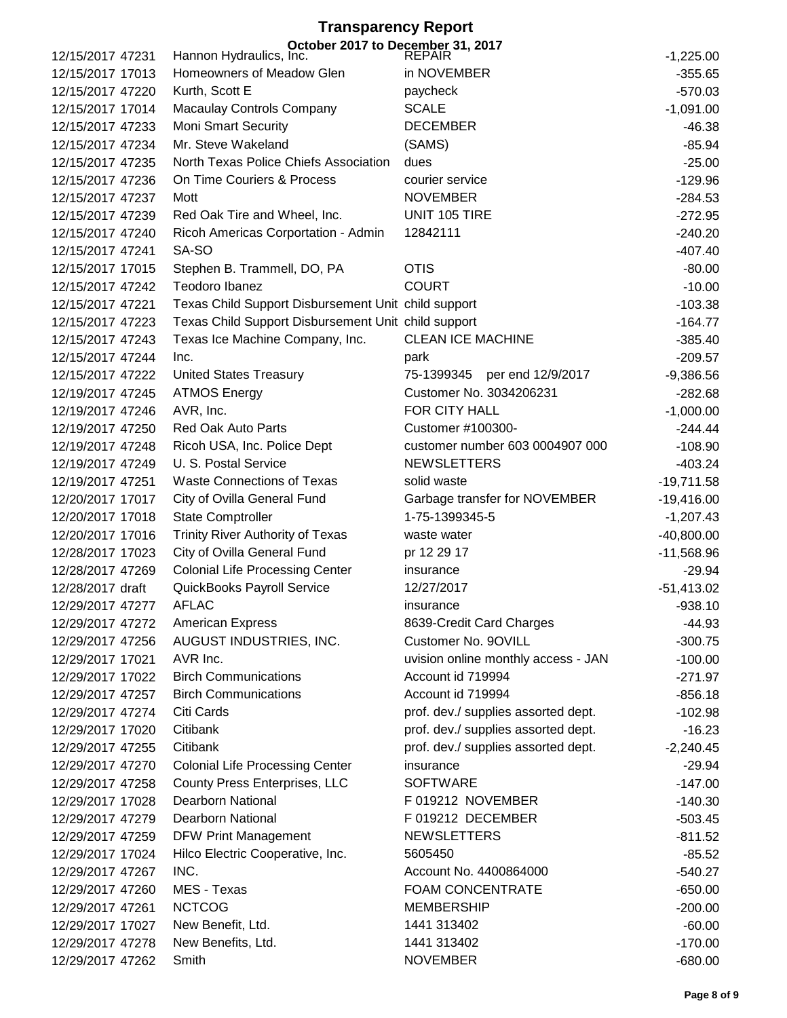### **Transparency Report October 2017 to December 31, 2017**

| 12/15/2017 47231 | Hannon Hydraulics, Inc.                             | .,<br><b>REPAIR</b>                 | $-1,225.00$  |
|------------------|-----------------------------------------------------|-------------------------------------|--------------|
| 12/15/2017 17013 | Homeowners of Meadow Glen                           | in NOVEMBER                         | $-355.65$    |
| 12/15/2017 47220 | Kurth, Scott E                                      | paycheck                            | $-570.03$    |
| 12/15/2017 17014 | <b>Macaulay Controls Company</b>                    | <b>SCALE</b>                        | $-1,091.00$  |
| 12/15/2017 47233 | <b>Moni Smart Security</b>                          | <b>DECEMBER</b>                     | $-46.38$     |
| 12/15/2017 47234 | Mr. Steve Wakeland                                  | (SAMS)                              | $-85.94$     |
| 12/15/2017 47235 | North Texas Police Chiefs Association               | dues                                | $-25.00$     |
| 12/15/2017 47236 | On Time Couriers & Process                          | courier service                     | $-129.96$    |
| 12/15/2017 47237 | Mott                                                | <b>NOVEMBER</b>                     | $-284.53$    |
| 12/15/2017 47239 | Red Oak Tire and Wheel, Inc.                        | UNIT 105 TIRE                       | $-272.95$    |
| 12/15/2017 47240 | Ricoh Americas Corportation - Admin                 | 12842111                            | $-240.20$    |
| 12/15/2017 47241 | SA-SO                                               |                                     | $-407.40$    |
| 12/15/2017 17015 | Stephen B. Trammell, DO, PA                         | <b>OTIS</b>                         | $-80.00$     |
| 12/15/2017 47242 | Teodoro Ibanez                                      | <b>COURT</b>                        | $-10.00$     |
| 12/15/2017 47221 | Texas Child Support Disbursement Unit child support |                                     | $-103.38$    |
| 12/15/2017 47223 | Texas Child Support Disbursement Unit child support |                                     | $-164.77$    |
| 12/15/2017 47243 | Texas Ice Machine Company, Inc.                     | <b>CLEAN ICE MACHINE</b>            | $-385.40$    |
| 12/15/2017 47244 | Inc.                                                | park                                | $-209.57$    |
| 12/15/2017 47222 | <b>United States Treasury</b>                       | 75-1399345 per end 12/9/2017        | $-9,386.56$  |
| 12/19/2017 47245 | <b>ATMOS Energy</b>                                 | Customer No. 3034206231             | $-282.68$    |
| 12/19/2017 47246 | AVR, Inc.                                           | FOR CITY HALL                       | $-1,000.00$  |
| 12/19/2017 47250 | <b>Red Oak Auto Parts</b>                           | Customer #100300-                   | $-244.44$    |
| 12/19/2017 47248 | Ricoh USA, Inc. Police Dept                         | customer number 603 0004907 000     | $-108.90$    |
| 12/19/2017 47249 | U. S. Postal Service                                | <b>NEWSLETTERS</b>                  | $-403.24$    |
| 12/19/2017 47251 | <b>Waste Connections of Texas</b>                   | solid waste                         | $-19,711.58$ |
| 12/20/2017 17017 | City of Ovilla General Fund                         | Garbage transfer for NOVEMBER       | $-19,416.00$ |
| 12/20/2017 17018 | <b>State Comptroller</b>                            | 1-75-1399345-5                      | $-1,207.43$  |
| 12/20/2017 17016 | Trinity River Authority of Texas                    | waste water                         | $-40,800.00$ |
| 12/28/2017 17023 | City of Ovilla General Fund                         | pr 12 29 17                         | $-11,568.96$ |
| 12/28/2017 47269 | <b>Colonial Life Processing Center</b>              | insurance                           | $-29.94$     |
| 12/28/2017 draft | QuickBooks Payroll Service                          | 12/27/2017                          | $-51,413.02$ |
| 12/29/2017 47277 | <b>AFLAC</b>                                        | insurance                           | $-938.10$    |
| 12/29/2017 47272 | American Express                                    | 8639-Credit Card Charges            | $-44.93$     |
| 12/29/2017 47256 | AUGUST INDUSTRIES, INC.                             | Customer No. 9OVILL                 | $-300.75$    |
| 12/29/2017 17021 | AVR Inc.                                            | uvision online monthly access - JAN | $-100.00$    |
| 12/29/2017 17022 | <b>Birch Communications</b>                         | Account id 719994                   | $-271.97$    |
| 12/29/2017 47257 | <b>Birch Communications</b>                         | Account id 719994                   | $-856.18$    |
| 12/29/2017 47274 | Citi Cards                                          | prof. dev./ supplies assorted dept. | $-102.98$    |
| 12/29/2017 17020 | Citibank                                            | prof. dev./ supplies assorted dept. | $-16.23$     |
| 12/29/2017 47255 | Citibank                                            | prof. dev./ supplies assorted dept. | $-2,240.45$  |
| 12/29/2017 47270 | <b>Colonial Life Processing Center</b>              | insurance                           | $-29.94$     |
| 12/29/2017 47258 | County Press Enterprises, LLC                       | <b>SOFTWARE</b>                     | $-147.00$    |
| 12/29/2017 17028 | <b>Dearborn National</b>                            | F 019212 NOVEMBER                   | $-140.30$    |
| 12/29/2017 47279 | <b>Dearborn National</b>                            | F 019212 DECEMBER                   | $-503.45$    |
| 12/29/2017 47259 | <b>DFW Print Management</b>                         | <b>NEWSLETTERS</b>                  | $-811.52$    |
| 12/29/2017 17024 | Hilco Electric Cooperative, Inc.                    | 5605450                             | $-85.52$     |
| 12/29/2017 47267 | INC.                                                | Account No. 4400864000              | $-540.27$    |
| 12/29/2017 47260 | MES - Texas                                         | FOAM CONCENTRATE                    | $-650.00$    |
| 12/29/2017 47261 | <b>NCTCOG</b>                                       | <b>MEMBERSHIP</b>                   | $-200.00$    |
| 12/29/2017 17027 | New Benefit, Ltd.                                   | 1441 313402                         | $-60.00$     |
| 12/29/2017 47278 | New Benefits, Ltd.                                  | 1441 313402                         | $-170.00$    |
| 12/29/2017 47262 | Smith                                               | <b>NOVEMBER</b>                     | $-680.00$    |
|                  |                                                     |                                     |              |